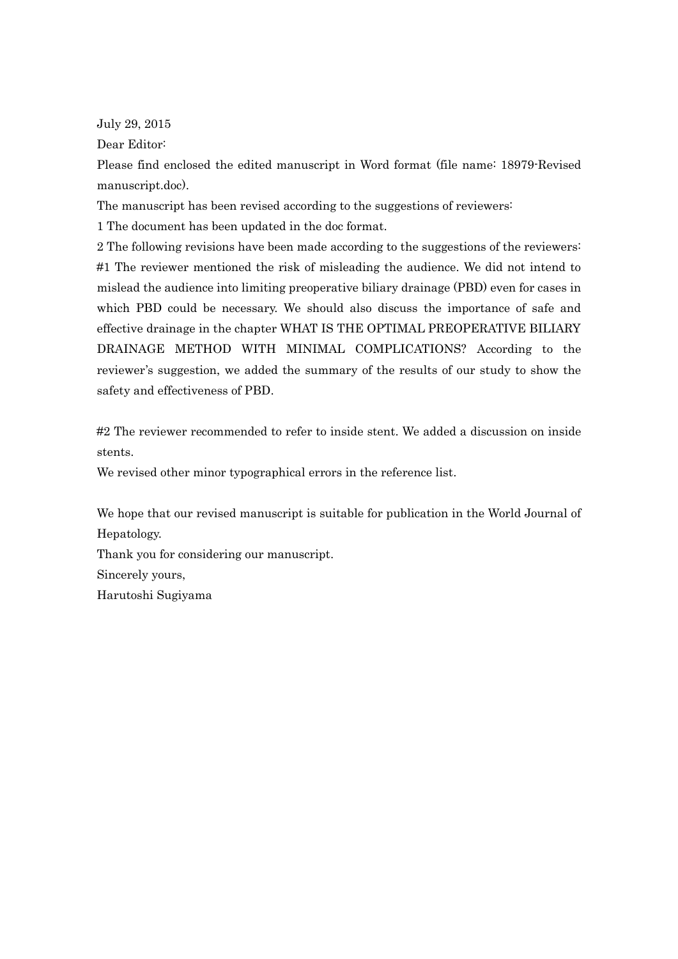July 29, 2015

Dear Editor:

Please find enclosed the edited manuscript in Word format (file name: 18979-Revised manuscript.doc).

The manuscript has been revised according to the suggestions of reviewers:

1 The document has been updated in the doc format.

2 The following revisions have been made according to the suggestions of the reviewers: #1 The reviewer mentioned the risk of misleading the audience. We did not intend to mislead the audience into limiting preoperative biliary drainage (PBD) even for cases in which PBD could be necessary. We should also discuss the importance of safe and effective drainage in the chapter WHAT IS THE OPTIMAL PREOPERATIVE BILIARY DRAINAGE METHOD WITH MINIMAL COMPLICATIONS? According to the reviewer's suggestion, we added the summary of the results of our study to show the safety and effectiveness of PBD.

#2 The reviewer recommended to refer to inside stent. We added a discussion on inside stents.

We revised other minor typographical errors in the reference list.

We hope that our revised manuscript is suitable for publication in the World Journal of Hepatology.

Thank you for considering our manuscript.

Sincerely yours,

Harutoshi Sugiyama